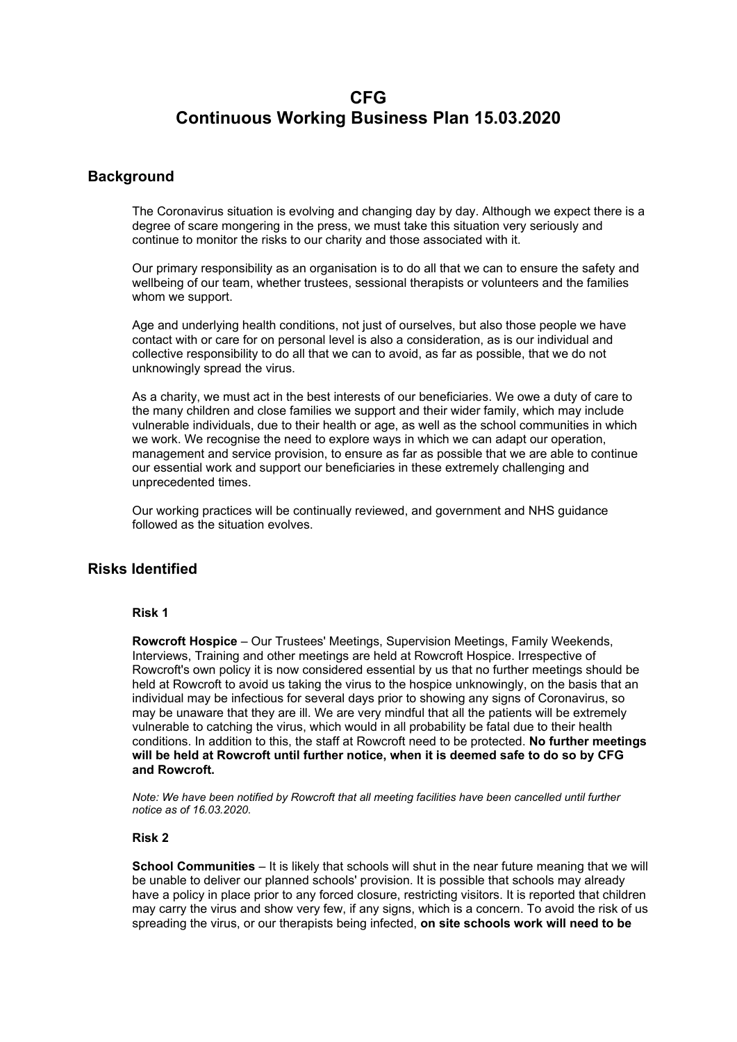# **CFG Continuous Working Business Plan 15.03.2020**

# **Background**

The Coronavirus situation is evolving and changing day by day. Although we expect there is a degree of scare mongering in the press, we must take this situation very seriously and continue to monitor the risks to our charity and those associated with it.

Our primary responsibility as an organisation is to do all that we can to ensure the safety and wellbeing of our team, whether trustees, sessional therapists or volunteers and the families whom we support.

Age and underlying health conditions, not just of ourselves, but also those people we have contact with or care for on personal level is also a consideration, as is our individual and collective responsibility to do all that we can to avoid, as far as possible, that we do not unknowingly spread the virus.

As a charity, we must act in the best interests of our beneficiaries. We owe a duty of care to the many children and close families we support and their wider family, which may include vulnerable individuals, due to their health or age, as well as the school communities in which we work. We recognise the need to explore ways in which we can adapt our operation, management and service provision, to ensure as far as possible that we are able to continue our essential work and support our beneficiaries in these extremely challenging and unprecedented times.

Our working practices will be continually reviewed, and government and NHS guidance followed as the situation evolves.

# **Risks Identified**

### **Risk 1**

**Rowcroft Hospice** – Our Trustees' Meetings, Supervision Meetings, Family Weekends, Interviews, Training and other meetings are held at Rowcroft Hospice. Irrespective of Rowcroft's own policy it is now considered essential by us that no further meetings should be held at Rowcroft to avoid us taking the virus to the hospice unknowingly, on the basis that an individual may be infectious for several days prior to showing any signs of Coronavirus, so may be unaware that they are ill. We are very mindful that all the patients will be extremely vulnerable to catching the virus, which would in all probability be fatal due to their health conditions. In addition to this, the staff at Rowcroft need to be protected. **No further meetings will be held at Rowcroft until further notice, when it is deemed safe to do so by CFG and Rowcroft.**

*Note: We have been notified by Rowcroft that all meeting facilities have been cancelled until further notice as of 16.03.2020.*

### **Risk 2**

**School Communities** – It is likely that schools will shut in the near future meaning that we will be unable to deliver our planned schools' provision. It is possible that schools may already have a policy in place prior to any forced closure, restricting visitors. It is reported that children may carry the virus and show very few, if any signs, which is a concern. To avoid the risk of us spreading the virus, or our therapists being infected, **on site schools work will need to be**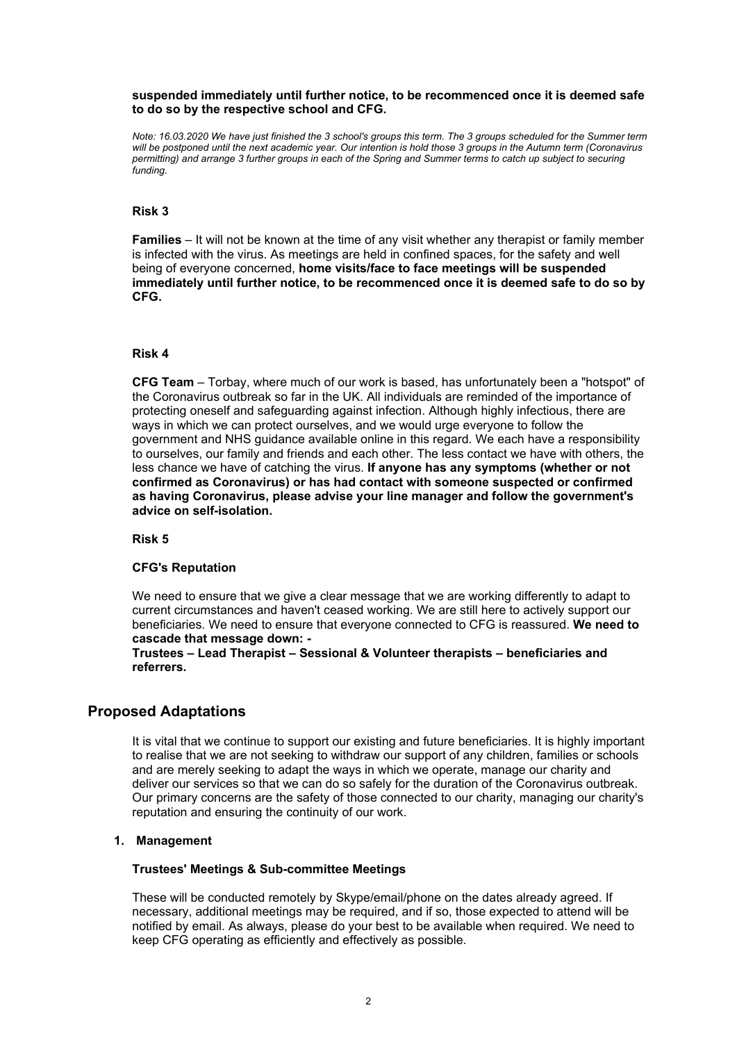#### **suspended immediately until further notice, to be recommenced once it is deemed safe to do so by the respective school and CFG.**

Note: 16.03.2020 We have just finished the 3 school's groups this term. The 3 groups scheduled for the Summer term will be postponed until the next academic year. Our intention is hold those 3 groups in the Autumn term (Coronavirus permitting) and arrange 3 further groups in each of the Spring and Summer terms to catch up subject to securing *funding.*

#### **Risk 3**

**Families** – It will not be known at the time of any visit whether any therapist or family member is infected with the virus. As meetings are held in confined spaces, for the safety and well being of everyone concerned, **home visits/face to face meetings will be suspended immediately until further notice, to be recommenced once it is deemed safe to do so by CFG.**

#### **Risk 4**

**CFG Team** – Torbay, where much of our work is based, has unfortunately been a "hotspot" of the Coronavirus outbreak so far in the UK. All individuals are reminded of the importance of protecting oneself and safeguarding against infection. Although highly infectious, there are ways in which we can protect ourselves, and we would urge everyone to follow the government and NHS guidance available online in this regard. We each have a responsibility to ourselves, our family and friends and each other. The less contact we have with others, the less chance we have of catching the virus. **If anyone has any symptoms (whether or not confirmed as Coronavirus) or has had contact with someone suspected or confirmed as having Coronavirus, please advise your line manager and follow the government's advice on self-isolation.**

**Risk 5**

#### **CFG's Reputation**

We need to ensure that we give a clear message that we are working differently to adapt to current circumstances and haven't ceased working. We are still here to actively support our beneficiaries. We need to ensure that everyone connected to CFG is reassured. **We need to cascade that message down: -**

**Trustees – Lead Therapist – Sessional & Volunteer therapists – beneficiaries and referrers.**

# **Proposed Adaptations**

It is vital that we continue to support our existing and future beneficiaries. It is highly important to realise that we are not seeking to withdraw our support of any children, families or schools and are merely seeking to adapt the ways in which we operate, manage our charity and deliver our services so that we can do so safely for the duration of the Coronavirus outbreak. Our primary concerns are the safety of those connected to our charity, managing our charity's reputation and ensuring the continuity of our work.

#### **1. Management**

#### **Trustees' Meetings & Sub-committee Meetings**

These will be conducted remotely by Skype/email/phone on the dates already agreed. If necessary, additional meetings may be required, and if so, those expected to attend will be notified by email. As always, please do your best to be available when required. We need to keep CFG operating as efficiently and effectively as possible.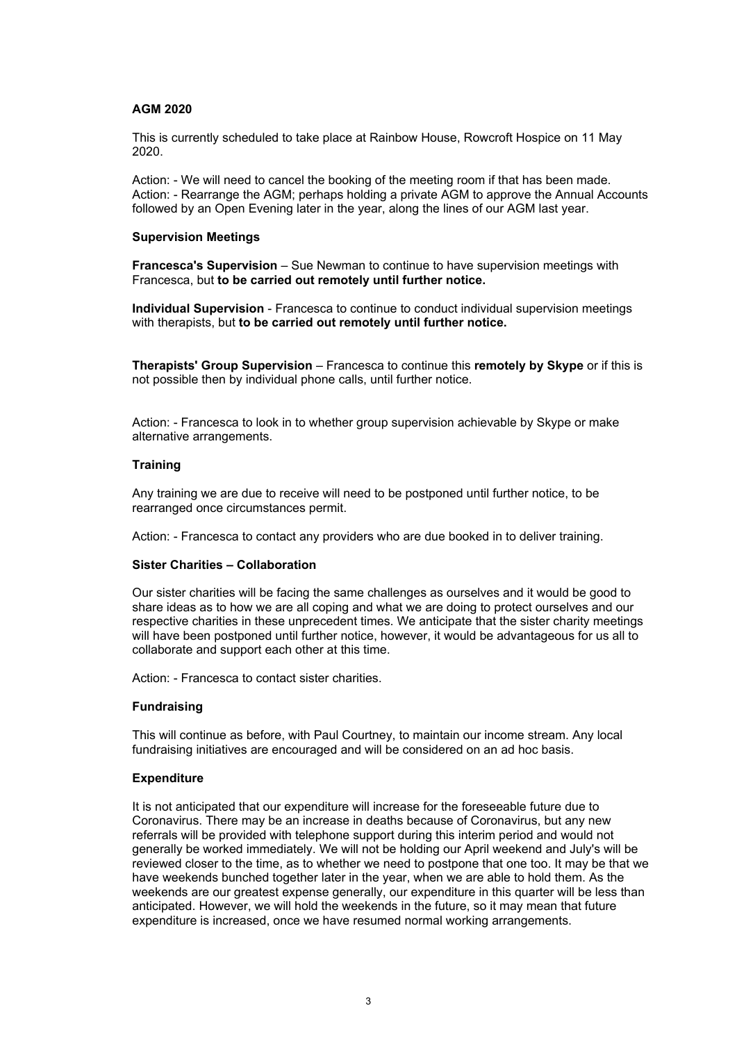#### **AGM 2020**

This is currently scheduled to take place at Rainbow House, Rowcroft Hospice on 11 May 2020.

Action: - We will need to cancel the booking of the meeting room if that has been made. Action: - Rearrange the AGM; perhaps holding a private AGM to approve the Annual Accounts followed by an Open Evening later in the year, along the lines of our AGM last year.

#### **Supervision Meetings**

**Francesca's Supervision** – Sue Newman to continue to have supervision meetings with Francesca, but **to be carried out remotely until further notice.**

**Individual Supervision** - Francesca to continue to conduct individual supervision meetings with therapists, but **to be carried out remotely until further notice.**

**Therapists' Group Supervision** – Francesca to continue this **remotely by Skype** or if this is not possible then by individual phone calls, until further notice.

Action: - Francesca to look in to whether group supervision achievable by Skype or make alternative arrangements.

### **Training**

Any training we are due to receive will need to be postponed until further notice, to be rearranged once circumstances permit.

Action: - Francesca to contact any providers who are due booked in to deliver training.

### **Sister Charities – Collaboration**

Our sister charities will be facing the same challenges as ourselves and it would be good to share ideas as to how we are all coping and what we are doing to protect ourselves and our respective charities in these unprecedent times. We anticipate that the sister charity meetings will have been postponed until further notice, however, it would be advantageous for us all to collaborate and support each other at this time.

Action: - Francesca to contact sister charities.

#### **Fundraising**

This will continue as before, with Paul Courtney, to maintain our income stream. Any local fundraising initiatives are encouraged and will be considered on an ad hoc basis.

#### **Expenditure**

It is not anticipated that our expenditure will increase for the foreseeable future due to Coronavirus. There may be an increase in deaths because of Coronavirus, but any new referrals will be provided with telephone support during this interim period and would not generally be worked immediately. We will not be holding our April weekend and July's will be reviewed closer to the time, as to whether we need to postpone that one too. It may be that we have weekends bunched together later in the year, when we are able to hold them. As the weekends are our greatest expense generally, our expenditure in this quarter will be less than anticipated. However, we will hold the weekends in the future, so it may mean that future expenditure is increased, once we have resumed normal working arrangements.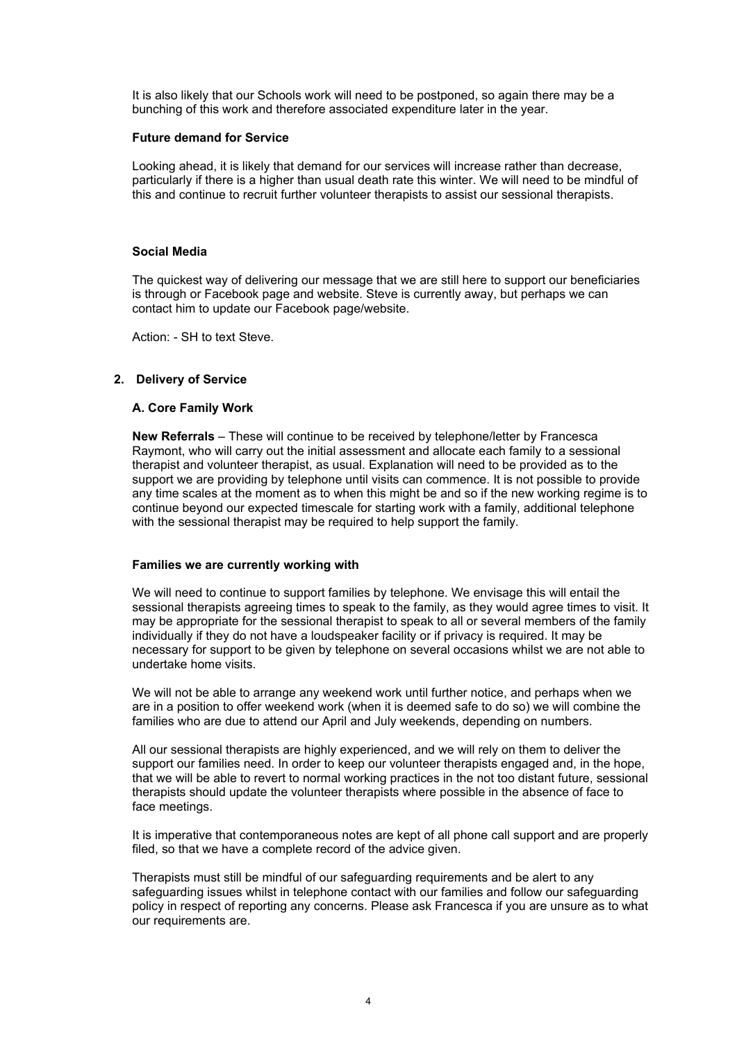It is also likely that our Schools work will need to be postponed, so again there may be a bunching of this work and therefore associated expenditure later in the year.

#### **Future demand for Service**

Looking ahead, it is likely that demand for our services will increase rather than decrease, particularly if there is a higher than usual death rate this winter. We will need to be mindful of this and continue to recruit further volunteer therapists to assist our sessional therapists.

#### **Social Media**

The quickest way of delivering our message that we are still here to support our beneficiaries is through or Facebook page and website. Steve is currently away, but perhaps we can contact him to update our Facebook page/website.

Action: - SH to text Steve.

#### **2. Delivery of Service**

#### **A. Core Family Work**

**New Referrals** – These will continue to be received by telephone/letter by Francesca Raymont, who will carry out the initial assessment and allocate each family to a sessional therapist and volunteer therapist, as usual. Explanation will need to be provided as to the support we are providing by telephone until visits can commence. It is not possible to provide any time scales at the moment as to when this might be and so if the new working regime is to continue beyond our expected timescale for starting work with a family, additional telephone with the sessional therapist may be required to help support the family.

#### **Families we are currently working with**

We will need to continue to support families by telephone. We envisage this will entail the sessional therapists agreeing times to speak to the family, as they would agree times to visit. It may be appropriate for the sessional therapist to speak to all or several members of the family individually if they do not have a loudspeaker facility or if privacy is required. It may be necessary for support to be given by telephone on several occasions whilst we are not able to undertake home visits.

We will not be able to arrange any weekend work until further notice, and perhaps when we are in a position to offer weekend work (when it is deemed safe to do so) we will combine the families who are due to attend our April and July weekends, depending on numbers.

All our sessional therapists are highly experienced, and we will rely on them to deliver the support our families need. In order to keep our volunteer therapists engaged and, in the hope, that we will be able to revert to normal working practices in the not too distant future, sessional therapists should update the volunteer therapists where possible in the absence of face to face meetings.

It is imperative that contemporaneous notes are kept of all phone call support and are properly filed, so that we have a complete record of the advice given.

Therapists must still be mindful of our safeguarding requirements and be alert to any safeguarding issues whilst in telephone contact with our families and follow our safeguarding policy in respect of reporting any concerns. Please ask Francesca if you are unsure as to what our requirements are.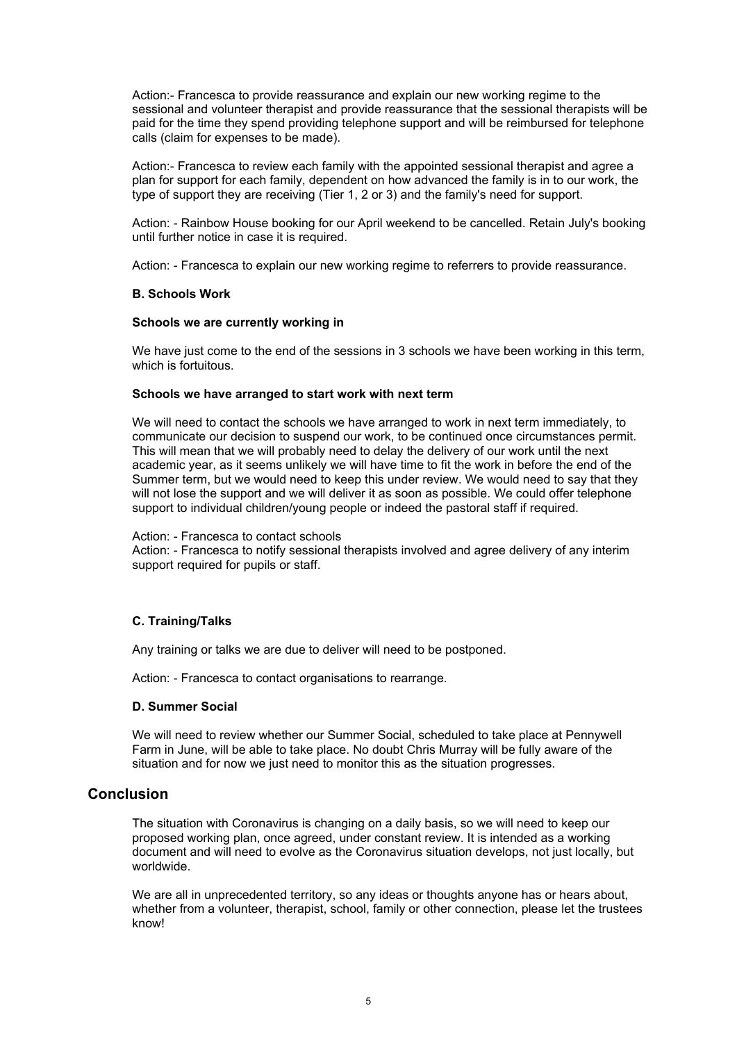Action:- Francesca to provide reassurance and explain our new working regime to the sessional and volunteer therapist and provide reassurance that the sessional therapists will be paid for the time they spend providing telephone support and will be reimbursed for telephone calls (claim for expenses to be made).

Action:- Francesca to review each family with the appointed sessional therapist and agree a plan for support for each family, dependent on how advanced the family is in to our work, the type of support they are receiving (Tier 1, 2 or 3) and the family's need for support.

Action: - Rainbow House booking for our April weekend to be cancelled. Retain July's booking until further notice in case it is required.

Action: - Francesca to explain our new working regime to referrers to provide reassurance.

#### **B. Schools Work**

#### **Schools we are currently working in**

We have just come to the end of the sessions in 3 schools we have been working in this term, which is fortuitous.

#### **Schools we have arranged to start work with next term**

We will need to contact the schools we have arranged to work in next term immediately, to communicate our decision to suspend our work, to be continued once circumstances permit. This will mean that we will probably need to delay the delivery of our work until the next academic year, as it seems unlikely we will have time to fit the work in before the end of the Summer term, but we would need to keep this under review. We would need to say that they will not lose the support and we will deliver it as soon as possible. We could offer telephone support to individual children/young people or indeed the pastoral staff if required.

#### Action: - Francesca to contact schools

Action: - Francesca to notify sessional therapists involved and agree delivery of any interim support required for pupils or staff.

#### **C. Training/Talks**

Any training or talks we are due to deliver will need to be postponed.

Action: - Francesca to contact organisations to rearrange.

#### **D. Summer Social**

We will need to review whether our Summer Social, scheduled to take place at Pennywell Farm in June, will be able to take place. No doubt Chris Murray will be fully aware of the situation and for now we just need to monitor this as the situation progresses.

## **Conclusion**

The situation with Coronavirus is changing on a daily basis, so we will need to keep our proposed working plan, once agreed, under constant review. It is intended as a working document and will need to evolve as the Coronavirus situation develops, not just locally, but worldwide.

We are all in unprecedented territory, so any ideas or thoughts anyone has or hears about, whether from a volunteer, therapist, school, family or other connection, please let the trustees know!